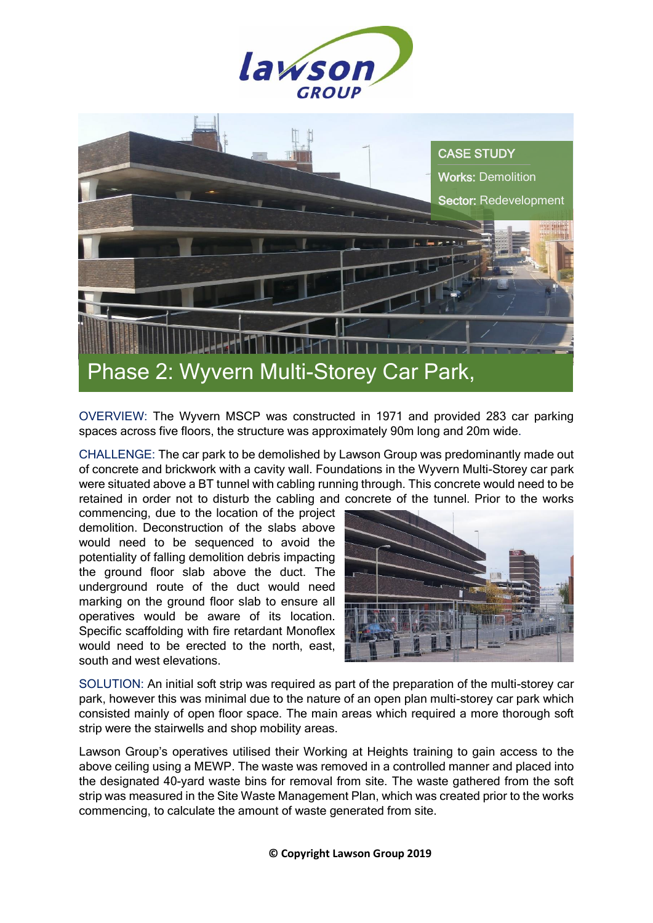



OVERVIEW: The Wyvern MSCP was constructed in 1971 and provided 283 car parking spaces across five floors, the structure was approximately 90m long and 20m wide.

CHALLENGE: The car park to be demolished by Lawson Group was predominantly made out of concrete and brickwork with a cavity wall. Foundations in the Wyvern Multi-Storey car park were situated above a BT tunnel with cabling running through. This concrete would need to be retained in order not to disturb the cabling and concrete of the tunnel. Prior to the works

commencing, due to the location of the project demolition. Deconstruction of the slabs above would need to be sequenced to avoid the potentiality of falling demolition debris impacting the ground floor slab above the duct. The underground route of the duct would need marking on the ground floor slab to ensure all operatives would be aware of its location. Specific scaffolding with fire retardant Monoflex would need to be erected to the north, east, south and west elevations.



SOLUTION: An initial soft strip was required as part of the preparation of the multi-storey car park, however this was minimal due to the nature of an open plan multi-storey car park which consisted mainly of open floor space. The main areas which required a more thorough soft strip were the stairwells and shop mobility areas.

Lawson Group's operatives utilised their Working at Heights training to gain access to the above ceiling using a MEWP. The waste was removed in a controlled manner and placed into the designated 40-yard waste bins for removal from site. The waste gathered from the soft strip was measured in the Site Waste Management Plan, which was created prior to the works commencing, to calculate the amount of waste generated from site.

**© Copyright Lawson Group 2019**